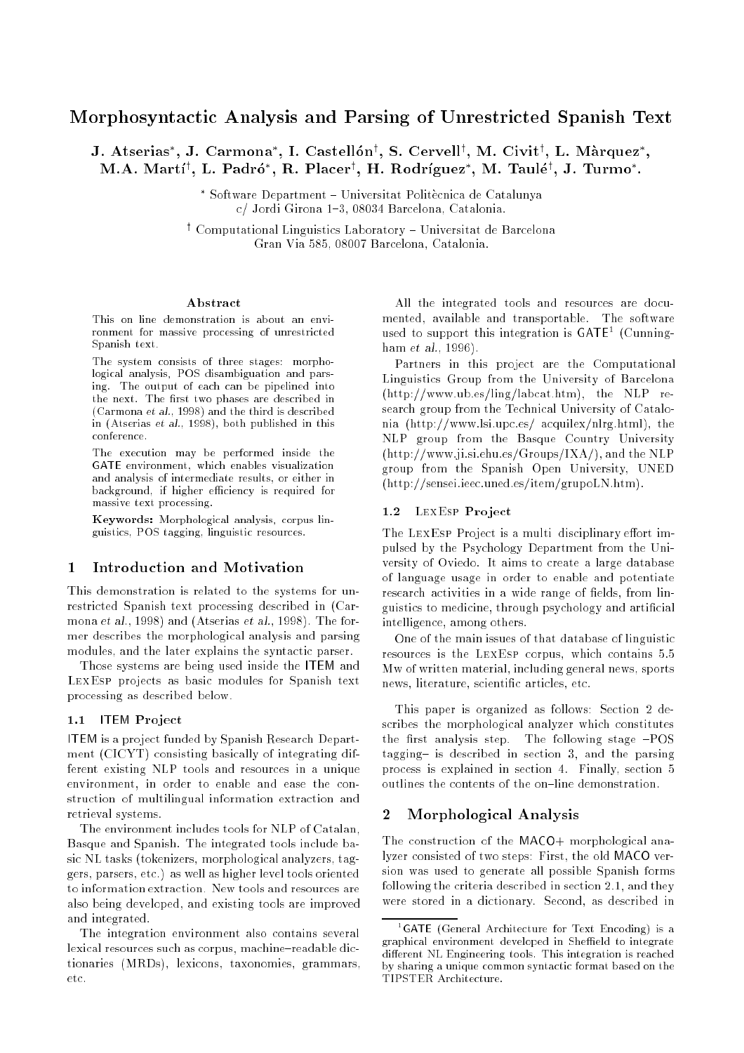# Morphosyntactic Analysis and Parsing of Unrestricted Spanish Text

J. Atserias , J. Carmona , I. Castellon , S. Cervell , M. Civit , L. Marquez , NLA. Martl', L. Padro , R. Placer', H. Rodriguez , M. Taule', J. Turino .

> Software Department { Universitat Politecnica de Catalunya c/ Jordi Girona 1-3, 08034 Barcelona, Catalonia.

' Computational Linguistics Laboratory - Universitat de Barcelona Gran Via 585, 08007 Barcelona, Catalonia.

#### A bstract

This on-line demonstration is about an environment for massive processing of unrestricted Spanish text.

The system consists of three stages: morphological analysis, POS disambiguation and parsing. The output of each can be pipelined into the next. The first two phases are described in (Carmona et al., 1998) and the third is described in (Atserias et al., 1998), both published in this conference

The execution may be performed inside the GATE environment, which enables visualization and analysis of intermediate results, or either in background, if higher efficiency is required for massive text processing.

Keywords: Morphological analysis, corpus linguistics, POS tagging, linguistic resources.

#### $\mathbf{1}$ Introduction and Motivation

This demonstration is related to the systems for unrestricted Spanish text processing described in (Carmona et al., 1998) and (Atserias et al., 1998). The former describes the morphological analysis and parsing modules, and the later explains the syntactic parser.

Those systems are being used inside the ITEM and LexEsp projects as basic modules for Spanish text processing as described below.

#### 1.1 **ITEM Project**

ITEM is a project funded by Spanish Research Department (CICYT) consisting basically of integrating different existing NLP tools and resources in a unique environment, in order to enable and ease the construction of multilingual information extraction and retrieval systems.

The environment includes tools for NLP of Catalan, Basque and Spanish. The integrated tools include basic NL tasks (tokenizers, morphological analyzers, taggers, parsers, etc.) as well as higher level tools oriented to information extraction. New tools and resources are also being developed, and existing tools are improved and integrated.

The integration environment also contains several lexical resources such as corpus, machine-readable dictionaries (MRDs), lexicons, taxonomies, grammars, etc.

All the integrated tools and resources are documented, available and transportable. The software used to support this integration is  $GATE<sup>T</sup>$  (Cunningham *et al.*, 1996).

Partners in this project are the Computational Linguistics Group from the University of Barcelona (http://www.ub.es/ling/labcat.htm), the NLP research group from the Technical University of Catalonia (http://www.lsi.upc.es/ acquilex/nlrg.html), the NLP group from the Basque Country University (http://www.ji.si.ehu.es/Groups/IXA/), and the NLP group from the Spanish Open University, UNED (http://sensei.ieec.uned.es/item/grupoLN.htm).

#### 1.2 LEXESP Project

The LEXESP Project is a multi-disciplinary effort impulsed by the Psychology Department from the University of Oviedo. It aims to create a large database of language usage in order to enable and potentiate research activities in a wide range of fields, from linguistics to medicine, through psychology and articial intelligence, among others.

One of the main issues of that database of linguistic resources is the LEXESP corpus, which contains 5.5 Mw of written material, including general news, sports news, literature, scientific articles, etc.

This paper is organized as follows: Section 2 describes the morphological analyzer which constitutes the first analysis step. The following stage  $-POS$ tagging{ is described in section 3, and the parsing process is explained in section 4. Finally, section 5 outlines the contents of the on-line demonstration.

### 2 Morphological Analysis

The construction of the MACO+ morphological analyzer consisted of two steps: First, the old MACO version was used to generate all possible Spanish forms following the criteria described in section 2.1, and they were stored in a dictionary. Second, as described in

<sup>1</sup> GATE (General Architecture for Text Encoding) is a graphical environment developed in Sheffield to integrate different NL Engineering tools. This integration is reached by sharing a unique common syntactic format based on the TIPSTER Architecture.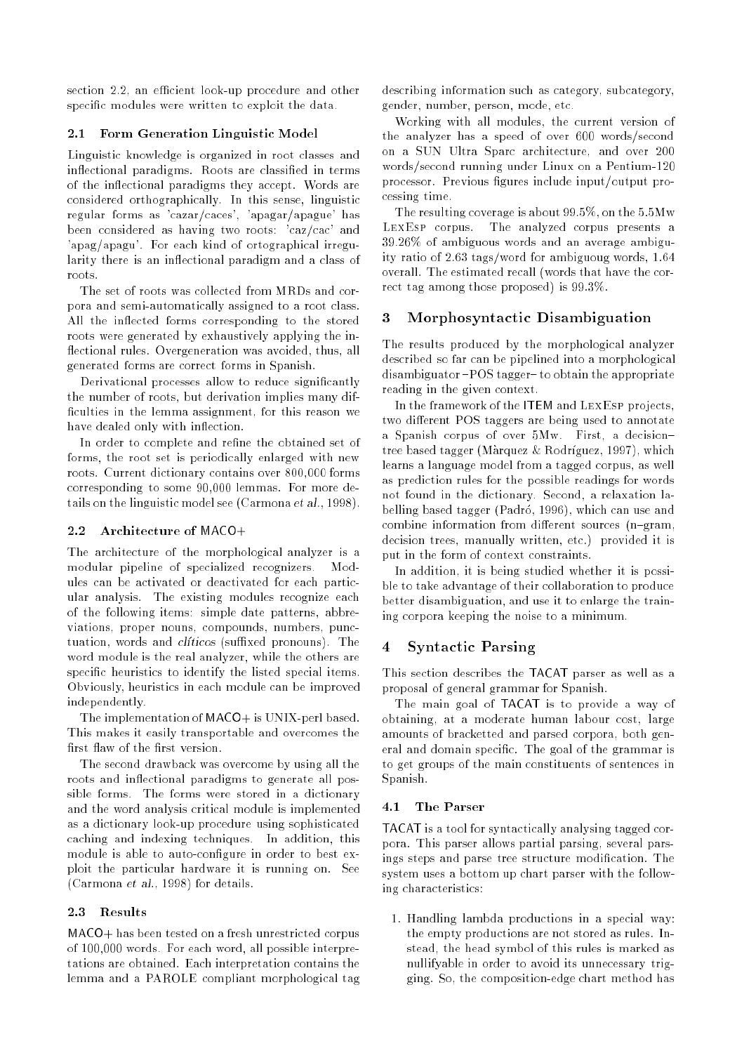section 2.2, an efficient look-up procedure and other specific modules were written to exploit the data.

## 2.1 Form Generation Linguistic Model

Linguistic knowledge is organized in root classes and in
ectional paradigms. Roots are classied in terms of the in
ectional paradigms they accept. Words are considered orthographically. In this sense, linguistic regular forms as 'cazar/caces', 'apagar/apague' has been considered as having two roots: 'caz/cac' and 'apag/apagu'. For each kind of ortographical irregularity there is an inflectional paradigm and a class of roots.

The set of roots was collected from MRDs and corpora and semi-automatically assigned to a root class. All the inflected forms corresponding to the stored roots were generated by exhaustively applying the in flectional rules. Overgeneration was avoided, thus, all generated forms are correct forms in Spanish.

Derivational processes allow to reduce significantly the number of roots, but derivation implies many dif ficulties in the lemma assignment, for this reason we have dealed only with inflection.

In order to complete and refine the obtained set of forms, the root set is periodically enlarged with new roots. Current dictionary contains over 800,000 forms corresponding to some 90,000 lemmas. For more details on the linguistic model see (Carmona et al., 1998).

## 2.2 Architecture of MACO+

The architecture of the morphological analyzer is a modular pipeline of specialized recognizers. Modules can be activated or deactivated for each particular analysis. The existing modules recognize each of the following items: simple date patterns, abbreviations, proper nouns, compounds, numbers, punctuation, words and *cliticos* (suffixed pronouns). The word module is the real analyzer, while the others are specific heuristics to identify the listed special items. Obviously, heuristics in each module can be improved independently.

The implementation of MACO+ is UNIX-perl based. This makes it easily transportable and overcomes the first flaw of the first version.

The second drawback was overcome by using all the roots and inflectional paradigms to generate all possible forms. The forms were stored in a dictionary and the word analysis critical module is implemented as a dictionary look-up procedure using sophisticated caching and indexing techniques. In addition, this module is able to auto-congure in order to best exploit the particular hardware it is running on. See (Carmona et al., 1998) for details.

## 2.3 Results

MACO+ has been tested on a fresh unrestricted corpus of 100,000 words. For each word, all possible interpretations are obtained. Each interpretation contains the lemma and a PAROLE compliant morphological tag

describing information such as category, subcategory, gender, number, person, mode, etc.

Working with all modules, the current version of the analyzer has a speed of over 600 words/second on a SUN Ultra Sparc architecture, and over 200 words/second running under Linux on a Pentium-120 processor. Previous figures include input/output processing time.

The resulting coverage is about 99.5%, on the 5.5Mw LexEsp corpus. The analyzed corpus presents a 39.26% of ambiguous words and an average ambiguity ratio of 2.63 tags/word for ambiguoug words, 1.64 overall. The estimated recall (words that have the correct tag among those proposed) is 99.3%.

# 3 Morphosyntactic Disambiguation

The results produced by the morphological analyzer described so far can be pipelined into a morphological disambiguator-POS tagger-to obtain the appropriate reading in the given context.

In the framework of the ITEM and LEXESP projects, two different POS taggers are being used to annotate a Spanish corpus of over 5Mw. First, a decision{ tree based tagger (Màrquez & Rodríguez, 1997), which learns a language model from a tagged corpus, as well as prediction rules for the possible readings for words not found in the dictionary. Second, a relaxation labelling based tagger (Padró, 1996), which can use and combine information from different sources  $(n{-}gram,$ decision trees, manually written, etc.) provided it is put in the form of context constraints.

In addition, it is being studied whether it is possible to take advantage of their collaboration to produce better disambiguation, and use it to enlarge the training corpora keeping the noise to a minimum.

# 4 Syntactic Parsing

This section describes the TACAT parser as well as a proposal of general grammar for Spanish.

The main goal of TACAT is to provide a way of obtaining, at a moderate human labour cost, large amounts of bracketted and parsed corpora, both general and domain specific. The goal of the grammar is to get groups of the main constituents of sentences in Spanish.

# 4.1 The Parser

TACAT is a tool for syntactically analysing tagged corpora. This parser allows partial parsing, several parsings steps and parse tree structure modification. The system uses a bottom up chart parser with the following characteristics:

1. Handling lambda productions in a special way: the empty productions are not stored as rules. Instead, the head symbol of this rules is marked as nullifyable in order to avoid its unnecessary trigging. So, the composition-edge chart method has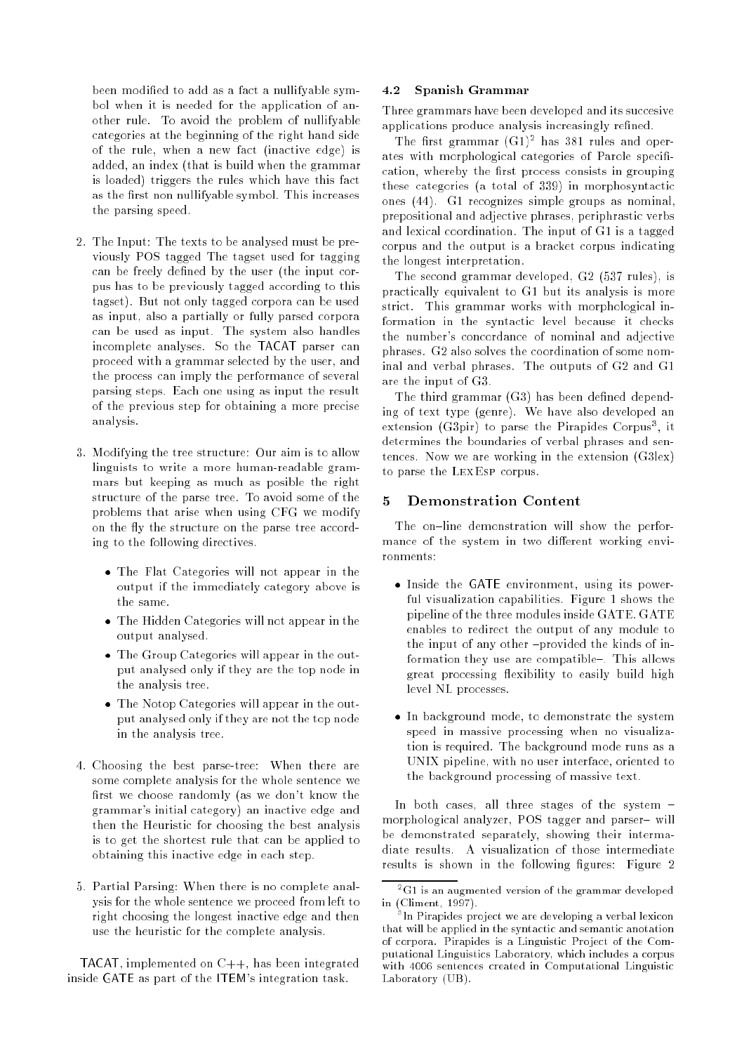been modified to add as a fact a nullifyable symbol when it is needed for the application of another rule. To avoid the problem of nullifyable categories at the beginning of the right hand side of the rule, when a new fact (inactive edge) is added, an index (that is build when the grammar is loaded) triggers the rules which have this fact as the first non nullifyable symbol. This increases the parsing speed.

- 2. The Input: The texts to be analysed must be previously POS tagged The tagset used for tagging can be freely defined by the user (the input corpus has to be previously tagged according to this tagset). But not only tagged corpora can be used as input, also a partially or fully parsed corpora can be used as input. The system also handles incomplete analyses. So the TACAT parser can proceed with a grammar selected by the user, and the process can imply the performance of several parsing steps. Each one using as input the result of the previous step for obtaining a more precise analysis.
- 3. Modifying the tree structure: Our aim is to allow linguists to write a more human-readable grammars but keeping as much as posible the right structure of the parse tree. To avoid some of the problems that arise when using CFG we modify on the fly the structure on the parse tree according to the following directives.
	- The Flat Categories will not appear in the output if the immediately category above is the same.
	- The Hidden Categories will not appear in the output analysed.
	- The Group Categories will appear in the output analysed only if they are the top node in the analysis tree.
	- The Notop Categories will appear in the output analysed only if they are not the top node in the analysis tree.
- 4. Choosing the best parse-tree: When there are some complete analysis for the whole sentence we first we choose randomly (as we don't know the grammar's initial category) an inactive edge and then the Heuristic for choosing the best analysis is to get the shortest rule that can be applied to obtaining this inactive edge in each step.
- 5. Partial Parsing: When there is no complete analysis for the whole sentence we proceed from left to right choosing the longest inactive edge and then use the heuristic for the complete analysis.

TACAT, implemented on C++, has been integrated inside GATE as part of the ITEM's integration task.

## 4.2 Spanish Grammar

Three grammars have been developed and its succesive applications produce analysis increasingly refined.

The first grammar (G1)<sup>-</sup> has 581 rules and operates with morphological categories of Parole specification, whereby the first process consists in grouping these categories (a total of 339) in morphosyntactic ones (44). G1 recognizes simple groups as nominal, prepositional and adjective phrases, periphrastic verbs and lexical coordination. The input of G1 is a tagged corpus and the output is a bracket corpus indicating the longest interpretation.

The second grammar developed, G2 (537 rules), is practically equivalent to G1 but its analysis is more strict. This grammar works with morphological information in the syntactic level because it checks the number's concordance of nominal and adjective phrases. G2 also solves the coordination of some nominal and verbal phrases. The outputs of G2 and G1 are the input of G3.

The third grammar  $(G3)$  has been defined depending of text type (genre). We have also developed an extension (G3pir) to parse the Pirapides Corpus<sup>-</sup>, it determines the boundaries of verbal phrases and sentences. Now we are working in the extension (G3lex) to parse the LexEsp corpus.

#### $\mathbf{5}$ **Demonstration Content**

The on-line demonstration will show the performance of the system in two different working environments:

- Inside the GATE environment, using its powerful visualization capabilities. Figure 1 shows the pipeline of the three modules inside GATE. GATE enables to redirect the output of any module to the input of any other -provided the kinds of information they use are compatible-. This allows great processing flexibility to easily build high level NL processes.
- In background mode, to demonstrate the system speed in massive processing when no visualization is required. The background mode runs as a UNIX pipeline, with no user interface, oriented to the background processing of massive text.

In both cases, all three stages of the system  $=$ morphological analyzer, POS tagger and parser{ will be demonstrated separately, showing their intermadiate results. A visualization of those intermediate results is shown in the following figures: Figure 2

<sup>2</sup> G1 is an augmented version of the grammar developed in (Climent, 1997).

<sup>3</sup> In Pirapides project we are developing a verbal lexicon that will be applied in the syntactic and semantic anotation of corpora. Pirapides is a Linguistic Project of the Computational Linguistics Laboratory, which includes a corpus with 4006 sentences created in Computational Linguistic Laboratory (UB).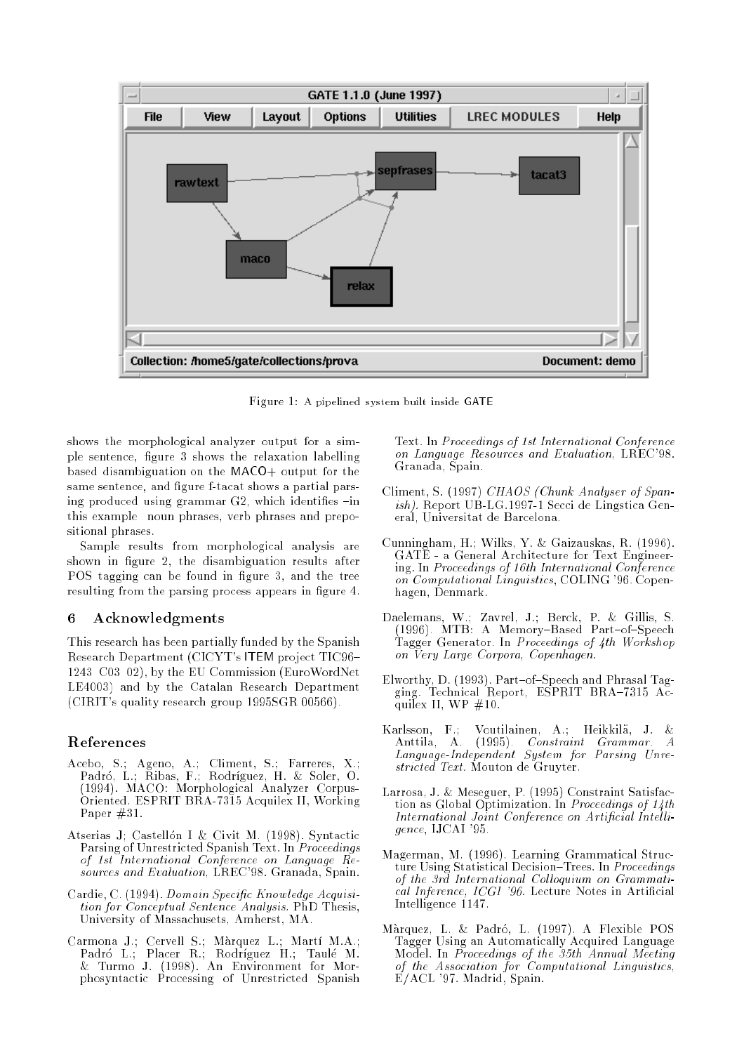

Figure 1: A pipelined system built inside GATE

shows the morphological analyzer output for a simple sentence, figure 3 shows the relaxation labelling based disambiguation on the MACO+ output for the same sentence, and figure f-tacat shows a partial parsing produced using grammar  $G2$ , which identifies  $-i$ n this example noun phrases, verb phrases and prepositional phrases.

Sample results from morphological analysis are shown in figure 2, the disambiguation results after POS tagging can be found in figure 3, and the tree resulting from the parsing process appears in figure 4.

#### **Acknowledgments** 6

This research has been partially funded by the Spanish Research Department (CICYT's ITEM project TIC96{  $1243{\text -}C03{\text -}02$ , by the EU Commission (EuroWordNet LE4003) and by the Catalan Research Department (CIRIT's quality research group 1995SGR 00566).

### References

- Acebo, S.; Ageno, A.; Climent, S.; Farreres, X.; Padró, L.; Ribas, F.; Rodríguez, H. & Soler, O. (1994). MACO: Morphological Analyzer Corpus-Oriented. ESPRIT BRA-7315 Acquilex II, Working Paper #31.
- Atserias J: Castellón I & Civit M. (1998). Syntactic Parsing of Unrestricted Spanish Text. In Proceedings of 1st International Conference on Language Resources and Evaluation, LREC'98. Granada, Spain.
- Cardie, C. (1994). Domain Specic Know ledge Acquisition for Conceptual Sentence Analysis. PhD Thesis, University of Massachusets, Amherst, MA.
- Carmona J.; Cervell S.; Marquez L.; Mart M.A.; Padro L.; Placer R.; Rodrguez H.; Taule M. & Turmo J. (1998). An Environment for Morphosyntactic Processing of Unrestricted Spanish

Text. In Proceedings of 1st International Conference on Language Resources and Evaluation, LREC'98. Granada, Spain.

- Climent, S. (1997) CHAOS (Chunk Analyser of Spanish). Report UB-LG.1997-1 Secci de Lingstica General, Universitat de Barcelona.
- Cunningham, H.; Wilks, Y. & Gaizauskas, R. (1996). GATE - a General Architecture for Text Engineering. In Proceedings of 16th International Conference on Computational Linguistics, COLING '96. Copenhagen, Denmark.
- Daelemans, W.; Zavrel, J.; Berck, P. & Gillis, S. (1996). MTB: A Memory  $M$  Memory  $B$  Memory  $B$  and  $B$ Tagger Generator. In Proceedings of 4th Workshop on Very Large Corpora, Copenhagen.
- Elworthy, D. (1993). Part-of-Speech and Phrasal Tagging. Technical Report, ESPRIT BRA-7315 Acquilex II, WP  $#10$ .
- Karlsson, F.; Voutilainen, A.; Heikkila, J. & Heikkila, J. & Heikkila, J. & Heikkila, J. & Heikkila, J. & Heik Anttila, A. (1995). Constraint Grammar. A Language-Independent System for Parsing Unrestricted Text. Mouton de Gruyter.
- Larrosa, J. & Meseguer, P. (1995) Constraint Satisfaction as Global Optimization. In Proceedings of 14th International Joint Conference on Artificial Intelligence, IJCAI '95.
- Magerman, M. (1996). Learning Grammatical Structure Using Statistical Decision-Trees. In Proceedings of the 3rd International Colloquium on Grammatical Inference, ICGI '96. Lecture Notes in Artificial Intelligence 1147.
- Màrquez, L. & Padró, L. (1997). A Flexible POS Tagger Using an Automatically Acquired Language Model. In Proceedings of the 35th Annual Meeting of the Association for Computational Linguistics, E/ACL '97. Madrid, Spain.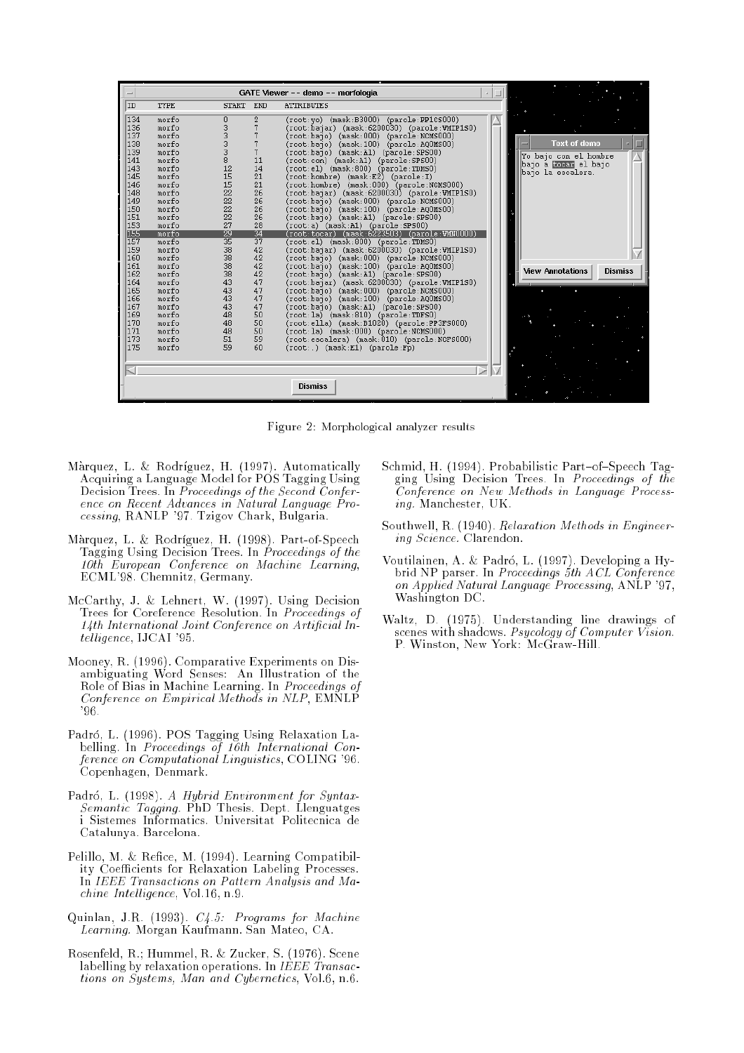| $-1$       |                |                 |                 |                                              |  |                                           |
|------------|----------------|-----------------|-----------------|----------------------------------------------|--|-------------------------------------------|
| ID         | TYPE           | <b>START</b>    | END             | <b>ATTRIBUTES</b>                            |  |                                           |
| 134        | morfo          | 0               | 2               | (root:yo) (mask:B3000) (parole:PP1CS000)     |  |                                           |
| 136        | morfo          | 3               |                 | (root:bajar) (mask:6200030) (parole:VMIP1S0) |  |                                           |
| 137        | morfo          |                 |                 | (root:bajo) (mask:000) (parole:NCMS000)      |  |                                           |
| 138        | morfo          |                 |                 | (root:bajo) (mask:100) (parole:AQOMSOO)      |  | <b>Text of demo</b>                       |
| 139        | morfo          | 3               |                 | (root:bajo) (mask:A1) (parole:SPS00)         |  | Yo bajo con el hombre                     |
| 141        | morfo          | 8               | 11              | (root:con) (mask:A1) (parole:SPS00)          |  | bajo a <b>coear</b> el bajo               |
| 143        | morfo          | 12              | 14              | (root:el) (mask:800) (parole:TDMS0)          |  | bajo la escalera.                         |
| 145        | morfo          | 15              | 21              | (root:hombre) (mask:E2) (parole:I)           |  |                                           |
| 146        | morfo          | 15              | 21              | (root:hombre) (mask:000) (parole:NCMS000)    |  |                                           |
| 148        | morfo          | 22              | 26              | (root:bajar) (mask:6200030) (parole:VMIP1S0) |  |                                           |
| 149        | morfo          | 22              | 26              | (root:bajo) (mask:000) (parole:NCMS000)      |  |                                           |
| 150        | morfo          | 22              | 26              | (root:bajo) (mask:100) (parole:AQOMSOO)      |  |                                           |
| 151        | morfo          | 22              | 26              | (root:bajo) (mask:A1) (parole:SPS00)         |  |                                           |
| 153        | morfo          | 27              | 28              | (root:a) (mask:A1) (parole:SPS00)            |  |                                           |
| 155        | morfo          | 29              | $\overline{34}$ | (root:tocar) (mask:6223503) (parole:VMN0000) |  |                                           |
| 157        | morfo          | $\overline{35}$ | $\overline{37}$ | (root:el) (mask:800) (parole:TDMS0)          |  |                                           |
| 159        | morfo          | 38              | 42              | (root:bajar) (mask:6200030) (parole:VMIP1S0) |  |                                           |
| 160        | morfo          | 38              | 42              | (root:baio) (mask:000) (parole:NCMS000)      |  |                                           |
| 161        | morfo          | 38              | 42              | (root:bajo) (mask:100) (parole:AQOMSOO)      |  | <b>View Annotations</b><br><b>Dismiss</b> |
| 162        | morfo          | 38              | 42              | (root:bajo) (mask:A1) (parole:SPS00)         |  |                                           |
| 164        | morfo          | 43              | 47              | (root:bajar) (mask:6200030) (parole:VMIP1S0) |  |                                           |
| 165        | morfo          | 43              | 47              | (root:bajo) (mask:000) (parole:NCMS000)      |  |                                           |
| 166        | morfo          | 43              | 47              | (root:bajo) (mask:100) (parole:AQOMSOO)      |  |                                           |
| 167        | morfo          | 43              | 47              | (root:bajo) (mask:A1) (parole:SPS00)         |  |                                           |
| 169        | morfo          | 48              | 50              | (root:la) (mask:810) (parole:TDFS0)          |  |                                           |
| 170        | morfo          | 48              | 50              | (root:ella) (mask:B1020) (parole:PP3FS000)   |  |                                           |
| 171<br>173 | morfo<br>morfo | 48              | 50              | (root:la) (mask:000) (parole:NCMS000)        |  |                                           |
| 175        |                | 51<br>59        | 59<br>60        | (root:escalera) (mask:010) (parole:NCFS000)  |  |                                           |
|            | morfo          |                 |                 | $(root:.)$ (mask:E1) (parole:Fp)             |  |                                           |
|            |                |                 |                 |                                              |  |                                           |
|            |                |                 |                 |                                              |  |                                           |
|            |                |                 |                 | <b>Dismiss</b>                               |  |                                           |

Figure 2: Morphological analyzer results

- Màrquez, L. & Rodríguez, H. (1997). Automatically Acquiring a Language Model for POS Tagging Using Decision Trees. In Proceedings of the Second Conference on Recent Advances in Natural Language Processing, RANLP '97. Tzigov Chark, Bulgaria.
- Marquez, L. & Rodrguez, H. (1998). Part-of-Speech Tagging Using Decision Trees. In Proceedings of the 10th European Conference on Machine Learning, ECML'98. Chemnitz, Germany.
- McCarthy, J. & Lehnert, W. (1997). Using Decision Trees for Coreference Resolution. In Proceedings of 14th International Joint Conference on Artificial Intelligence, IJCAI '95.
- Mooney, R. (1996). Comparative Experiments on Disambiguating Word Senses: An Illustration of the Role of Bias in Machine Learning. In Proceedings of Conference on Empirical Methods in NLP, EMNLP '96.
- Padró, L. (1996). POS Tagging Using Relaxation Labelling. In Proceedings of 16th International Conference on Computational Linguistics, COLING '96. Copenhagen, Denmark.
- Padró, L. (1998). A Hybrid Environment for Syntax-Semantic Tagging. PhD Thesis. Dept. Llenguatges i Sistemes Informatics. Universitat Politecnica de Catalunya. Barcelona.
- Pelillo, M. & Refice, M. (1994). Learning Compatibility Coefficients for Relaxation Labeling Processes. In IEEE Transactions on Pattern Analysis and Ma $chine$  Intelligence, Vol.16, n.9.
- Quinlan, J.R. (1993). C4.5: Programs for Machine Learning. Morgan Kaufmann. San Mateo, CA.
- Rosenfeld, R.; Hummel, R. & Zucker, S. (1976). Scene labelling by relaxation operations. In IEEE Transactions on Systems, Man and Cybernetics, Vol.6, n.6.
- Schmid, H. (1994). Probabilistic Part-of-Speech Tagging Using Decision Trees. In Proceedings of the Conference on New Methods in Language Processing. Manchester, UK.
- Southwell, R. (1940). Relaxation Methods in Engineering Science. Clarendon.
- Voutilainen, A. & Padró, L. (1997). Developing a Hybrid NP parser. In Proceedings 5th ACL Conference on Applied Natural Language Processing, ANLP '97, Washington DC.
- Waltz, D. (1975). Understanding line drawings of scenes with shadows. Psycology of Computer Vision. P. Winston, New York: McGraw-Hill.